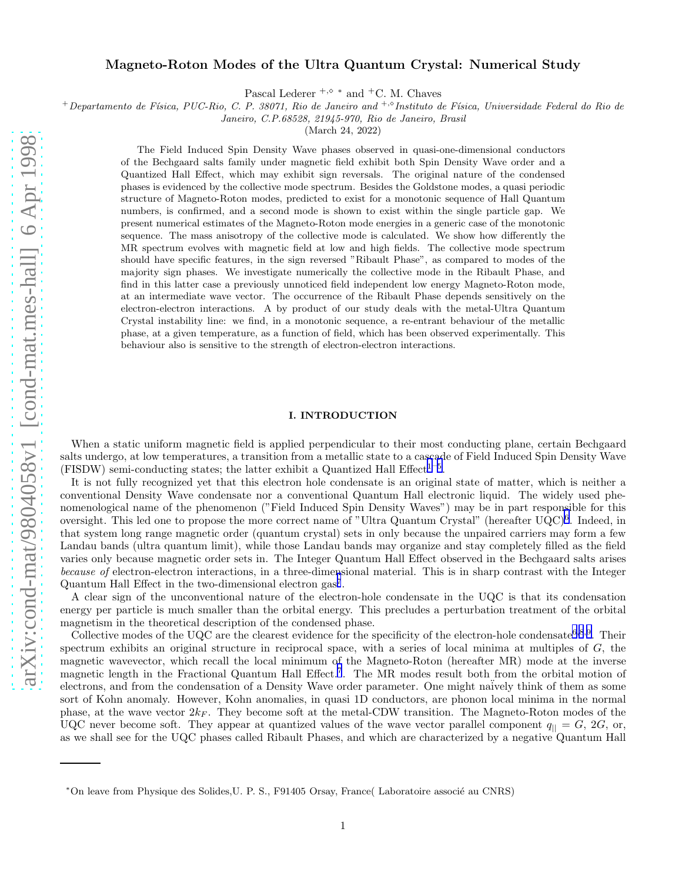# Magneto-Roton Modes of the Ultra Quantum Crystal: Numerical Study

Pascal Lederer  $+$ , $\diamond$   $*$  and  $+$ C. M. Chaves

 $+$ Departamento de Física, PUC-Rio, C. P. 38071, Rio de Janeiro and  $+$ ,⊗Instituto de Física, Universidade Federal do Rio de

Janeiro, C.P.68528, 21945-970, Rio de Janeiro, Brasil

(March 24, 2022)

The Field Induced Spin Density Wave phases observed in quasi-one-dimensional conductors of the Bechgaard salts family under magnetic field exhibit both Spin Density Wave order and a Quantized Hall Effect, which may exhibit sign reversals. The original nature of the condensed phases is evidenced by the collective mode spectrum. Besides the Goldstone modes, a quasi periodic structure of Magneto-Roton modes, predicted to exist for a monotonic sequence of Hall Quantum numbers, is confirmed, and a second mode is shown to exist within the single particle gap. We present numerical estimates of the Magneto-Roton mode energies in a generic case of the monotonic sequence. The mass anisotropy of the collective mode is calculated. We show how differently the MR spectrum evolves with magnetic field at low and high fields. The collective mode spectrum should have specific features, in the sign reversed "Ribault Phase", as compared to modes of the majority sign phases. We investigate numerically the collective mode in the Ribault Phase, and find in this latter case a previously unnoticed field independent low energy Magneto-Roton mode, at an intermediate wave vector. The occurrence of the Ribault Phase depends sensitively on the electron-electron interactions. A by product of our study deals with the metal-Ultra Quantum Crystal instability line: we find, in a monotonic sequence, a re-entrant behaviour of the metallic phase, at a given temperature, as a function of field, which has been observed experimentally. This behaviour also is sensitive to the strength of electron-electron interactions.

### I. INTRODUCTION

When a static uniform magnetic field is applied perpendicular to their most conducting plane, certain Bechgaard salts undergo, at low temperatures, a transition from a metallic state to a cascade of Field Induced Spin Density Wave (FISDW) semi-conducting states; the latter exhibit a Quantized Hall Effect<sup>[1](#page-16-0)-[5](#page-16-0)</sup>.

It is not fully recognized yet that this electron hole condensate is an original state of matter, which is neither a conventional Density Wave condensate nor a conventional Quantum Hall electronic liquid. The widely used phenomenological name of the phenomenon ("Field Induced Spin Density Waves") may be in part responsible for this oversight. This led one to propose the more correct name of "Ultra Quantum Crystal" (hereafter UQC)[6](#page-16-0) . Indeed, in that system long range magnetic order (quantum crystal) sets in only because the unpaired carriers may form a few Landau bands (ultra quantum limit), while those Landau bands may organize and stay completely filled as the field varies only because magnetic order sets in. The Integer Quantum Hall Effect observed in the Bechgaard salts arises because of electron-electron interactions, in a three-dimensional material. This is in sharp contrast with the Integer Quantum Hall Effect in the two-dimensional electron gas<sup>[7](#page-16-0)</sup>.

A clear sign of the unconventional nature of the electron-hole condensate in the UQC is that its condensation energy per particle is much smaller than the orbital energy. This precludes a perturbation treatment of the orbital magnetism in the theoretical description of the condensed phase.

Collective modes of the UQC are the clearest evidence for the specificity of the electron-hole condensate<sup>[6](#page-16-0),[8](#page-16-0),[9](#page-16-0)</sup>. Their spectrum exhibits an original structure in reciprocal space, with a series of local minima at multiples of  $G$ , the magnetic wavevector, which recall the local minimum of the Magneto-Roton (hereafter MR) mode at the inverse magnetic length in the Fractional Quantum Hall Effect.<sup>[7](#page-16-0)</sup>. The MR modes result both from the orbital motion of electrons, and from the condensation of a Density Wave order parameter. One might naïvely think of them as some sort of Kohn anomaly. However, Kohn anomalies, in quasi 1D conductors, are phonon local minima in the normal phase, at the wave vector  $2k_F$ . They become soft at the metal-CDW transition. The Magneto-Roton modes of the UQC never become soft. They appear at quantized values of the wave vector parallel component  $q_{\parallel} = G$ , 2G, or, as we shall see for the UQC phases called Ribault Phases, and which are characterized by a negative Quantum Hall

<sup>∗</sup>On leave from Physique des Solides,U. P. S., F91405 Orsay, France( Laboratoire associ´e au CNRS)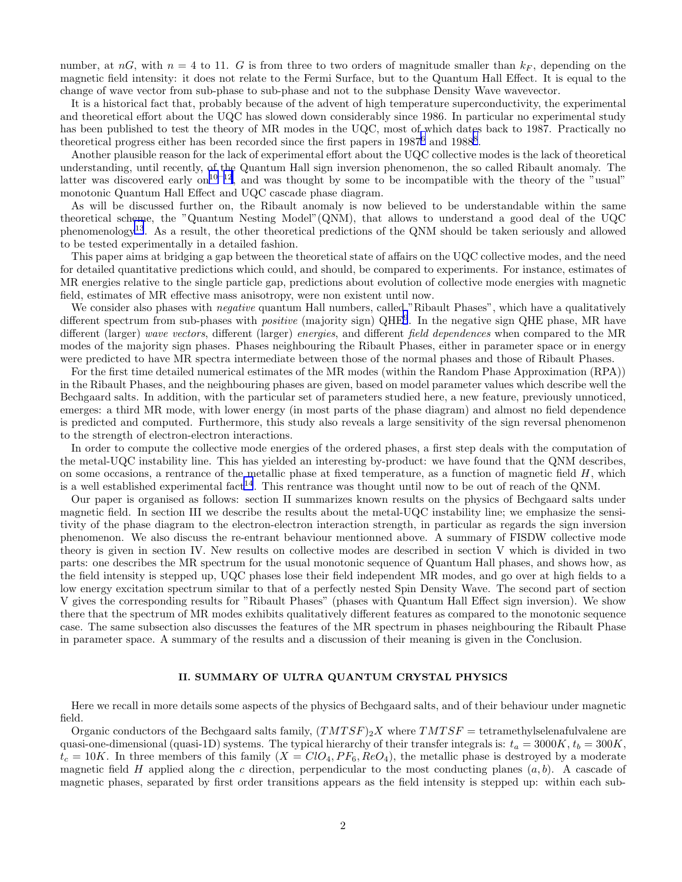number, at  $nG$ , with  $n = 4$  to 11. G is from three to two orders of magnitude smaller than  $k_F$ , depending on the magnetic field intensity: it does not relate to the Fermi Surface, but to the Quantum Hall Effect. It is equal to the change of wave vector from sub-phase to sub-phase and not to the subphase Density Wave wavevector.

It is a historical fact that, probably because of the advent of high temperature superconductivity, the experimental and theoretical effort about the UQC has slowed down considerably since 1986. In particular no experimental study has been published to test the theory of MR modes in the UQC, most of which dates back to 1987. Practically no theoretical progress either has been recorded since the first papers in  $1987^6$  $1987^6$  and  $1988^8$  $1988^8$  $1988^8$ .

Another plausible reason for the lack of experimental effort about the UQC collective modes is the lack of theoretical understanding, until recently, of the Quantum Hall sign inversion phenomenon, the so called Ribault anomaly. The latter was discovered early on<sup>[10](#page-16-0)–[12](#page-16-0)</sup>, and was thought by some to be incompatible with the theory of the "usual" monotonic Quantum Hall Effect and UQC cascade phase diagram.

As will be discussed further on, the Ribault anomaly is now believed to be understandable within the same theoretical scheme, the "Quantum Nesting Model"(QNM), that allows to understand a good deal of the UQC phenomenology[13](#page-16-0). As a result, the other theoretical predictions of the QNM should be taken seriously and allowed to be tested experimentally in a detailed fashion.

This paper aims at bridging a gap between the theoretical state of affairs on the UQC collective modes, and the need for detailed quantitative predictions which could, and should, be compared to experiments. For instance, estimates of MR energies relative to the single particle gap, predictions about evolution of collective mode energies with magnetic field, estimates of MR effective mass anisotropy, were non existent until now.

We consider also phases with *negative* quantum Hall numbers, called "Ribault Phases", which have a qualitatively different spectrum from sub-phases with *positive* (majority sign) QHE<sup>[9](#page-16-0)</sup>. In the negative sign QHE phase, MR have different (larger) wave vectors, different (larger) energies, and different field dependences when compared to the MR modes of the majority sign phases. Phases neighbouring the Ribault Phases, either in parameter space or in energy were predicted to have MR spectra intermediate between those of the normal phases and those of Ribault Phases.

For the first time detailed numerical estimates of the MR modes (within the Random Phase Approximation (RPA)) in the Ribault Phases, and the neighbouring phases are given, based on model parameter values which describe well the Bechgaard salts. In addition, with the particular set of parameters studied here, a new feature, previously unnoticed, emerges: a third MR mode, with lower energy (in most parts of the phase diagram) and almost no field dependence is predicted and computed. Furthermore, this study also reveals a large sensitivity of the sign reversal phenomenon to the strength of electron-electron interactions.

In order to compute the collective mode energies of the ordered phases, a first step deals with the computation of the metal-UQC instability line. This has yielded an interesting by-product: we have found that the QNM describes, on some occasions, a rentrance of the metallic phase at fixed temperature, as a function of magnetic field  $H$ , which is a well established experimental fact<sup>[14](#page-16-0)</sup>. This rentrance was thought until now to be out of reach of the QNM.

Our paper is organised as follows: section II summarizes known results on the physics of Bechgaard salts under magnetic field. In section III we describe the results about the metal-UQC instability line; we emphasize the sensitivity of the phase diagram to the electron-electron interaction strength, in particular as regards the sign inversion phenomenon. We also discuss the re-entrant behaviour mentionned above. A summary of FISDW collective mode theory is given in section IV. New results on collective modes are described in section V which is divided in two parts: one describes the MR spectrum for the usual monotonic sequence of Quantum Hall phases, and shows how, as the field intensity is stepped up, UQC phases lose their field independent MR modes, and go over at high fields to a low energy excitation spectrum similar to that of a perfectly nested Spin Density Wave. The second part of section V gives the corresponding results for "Ribault Phases" (phases with Quantum Hall Effect sign inversion). We show there that the spectrum of MR modes exhibits qualitatively different features as compared to the monotonic sequence case. The same subsection also discusses the features of the MR spectrum in phases neighbouring the Ribault Phase in parameter space. A summary of the results and a discussion of their meaning is given in the Conclusion.

# II. SUMMARY OF ULTRA QUANTUM CRYSTAL PHYSICS

Here we recall in more details some aspects of the physics of Bechgaard salts, and of their behaviour under magnetic field.

Organic conductors of the Bechgaard salts family,  $(TMTSF)_{2}X$  where  $TMTSF =$  tetramethylselenafulvalene are quasi-one-dimensional (quasi-1D) systems. The typical hierarchy of their transfer integrals is:  $t_a = 3000K$ ,  $t_b = 300K$ ,  $t_c = 10K$ . In three members of this family  $(X = ClO<sub>4</sub>, PF<sub>6</sub>, ReO<sub>4</sub>)$ , the metallic phase is destroyed by a moderate magnetic field H applied along the c direction, perpendicular to the most conducting planes  $(a, b)$ . A cascade of magnetic phases, separated by first order transitions appears as the field intensity is stepped up: within each sub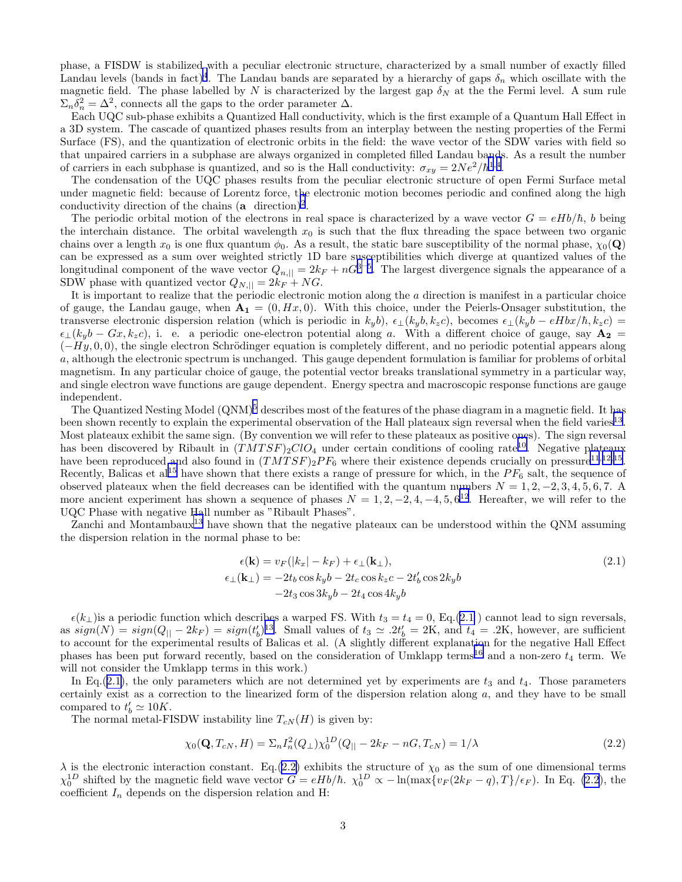<span id="page-2-0"></span>phase, a FISDW is stabilized with a peculiar electronic structure, characterized by a small number of exactly filled Landau levels (bands in fact)<sup>[4](#page-16-0)</sup>. The Landau bands are separated by a hierarchy of gaps  $\delta_n$  which oscillate with the magnetic field. The phase labelled by N is characterized by the largest gap  $\delta_N$  at the the Fermi level. A sum rule  $\Sigma_n \delta_n^2 = \Delta^2$ , connects all the gaps to the order parameter  $\Delta$ .

Each UQC sub-phase exhibits a Quantized Hall conductivity, which is the first example of a Quantum Hall Effect in a 3D system. The cascade of quantized phases results from an interplay between the nesting properties of the Fermi Surface (FS), and the quantization of electronic orbits in the field: the wave vector of the SDW varies with field so that unpaired carriers in a subphase are always organized in completed filled Landau bands. As a result the number of carriers in each subphase is quantized, and so is the Hall conductivity:  $\sigma_{xy} = 2Ne^2/\hbar^{1,4}$  $\sigma_{xy} = 2Ne^2/\hbar^{1,4}$  $\sigma_{xy} = 2Ne^2/\hbar^{1,4}$  $\sigma_{xy} = 2Ne^2/\hbar^{1,4}$  $\sigma_{xy} = 2Ne^2/\hbar^{1,4}$ .

The condensation of the UQC phases results from the peculiar electronic structure of open Fermi Surface metal under magnetic field: because of Lorentz force, the electronic motion becomes periodic and confined along the high conductivity direction of the chains  $(a \text{ direction})^2$  $(a \text{ direction})^2$ .

The periodic orbital motion of the electrons in real space is characterized by a wave vector  $G = eHb/\hbar$ , b being the interchain distance. The orbital wavelength  $x_0$  is such that the flux threading the space between two organic chains over a length  $x_0$  is one flux quantum  $\phi_0$ . As a result, the static bare susceptibility of the normal phase,  $\chi_0(\mathbf{Q})$ can be expressed as a sum over weighted strictly 1D bare susceptibilities which diverge at quantized values of the longitudinal component of the wave vector  $Q_{n,||} = 2k_F + nG^{3-5}$  $Q_{n,||} = 2k_F + nG^{3-5}$  $Q_{n,||} = 2k_F + nG^{3-5}$  $Q_{n,||} = 2k_F + nG^{3-5}$  $Q_{n,||} = 2k_F + nG^{3-5}$ . The largest divergence signals the appear SDW phase with quantized vector  $Q_{N,||} = 2k_F + NG$ .

It is important to realize that the periodic electronic motion along the a direction is manifest in a particular choice of gauge, the Landau gauge, when  $\mathbf{A_1} = (0, Hx, 0)$ . With this choice, under the Peierls-Onsager substitution, the transverse electronic dispersion relation (which is periodic in  $k_yb$ ),  $\epsilon_{\perp}(k_yb, k_zc)$ , becomes  $\epsilon_{\perp}(k_yb - eHbx/\hbar, k_zc)$  $\epsilon_{\perp}(k_yb - Gx, k_zc)$ , i. e. a periodic one-electron potential along a. With a different choice of gauge, say  $\mathbf{A_2} =$  $(-Hy, 0, 0)$ , the single electron Schrödinger equation is completely different, and no periodic potential appears along a, although the electronic spectrum is unchanged. This gauge dependent formulation is familiar for problems of orbital magnetism. In any particular choice of gauge, the potential vector breaks translational symmetry in a particular way, and single electron wave functions are gauge dependent. Energy spectra and macroscopic response functions are gauge independent.

The Quantized Nesting Model  $(QNM)^5$  $(QNM)^5$  describes most of the features of the phase diagram in a magnetic field. It has been shown recently to explain the experimental observation of the Hall plateaux sign reversal when the field varies<sup>[13](#page-16-0)</sup>. Most plateaux exhibit the same sign. (By convention we will refer to these plateaux as positive ones). The sign reversal has been discovered by Ribault in  $(TMT S F)_{2} ClO_{4}$  under certain conditions of cooling rate<sup>[10](#page-16-0)</sup>. Negative plateaux have been reproduced and also found in  $(TMTSF)_{2}PF_{6}$  where their existence depends crucially on pressure<sup>[11](#page-16-0),[12](#page-16-0),[15](#page-16-0)</sup>. Recently, Balicas et al<sup>[15](#page-16-0)</sup> have shown that there exists a range of pressure for which, in the  $PF_6$  salt, the sequence of observed plateaux when the field decreases can be identified with the quantum numbers  $N = 1, 2, -2, 3, 4, 5, 6, 7$ . A more ancient experiment has shown a sequence of phases  $N = 1, 2, -2, 4, -4, 5, 6^{12}$  $N = 1, 2, -2, 4, -4, 5, 6^{12}$  $N = 1, 2, -2, 4, -4, 5, 6^{12}$ . Hereafter, we will refer to the UQC Phase with negative Hall number as "Ribault Phases".

Zanchi and Montambaux<sup>[13](#page-16-0)</sup> have shown that the negative plateaux can be understood within the QNM assuming the dispersion relation in the normal phase to be:

$$
\epsilon(\mathbf{k}) = v_F(|k_x| - k_F) + \epsilon_{\perp}(\mathbf{k}_{\perp}),
$$
  
\n
$$
\epsilon_{\perp}(\mathbf{k}_{\perp}) = -2t_b \cos k_y b - 2t_c \cos k_z c - 2t'_b \cos 2k_y b
$$
  
\n
$$
-2t_3 \cos 3k_y b - 2t_4 \cos 4k_y b
$$
\n(2.1)

 $\epsilon(k_{\perp})$  is a periodic function which describes a warped FS. With  $t_3 = t_4 = 0$ , Eq.(2.1) cannot lead to sign reversals, as  $sign(N) = sign(Q_{\parallel} - 2k_F) = sign(t'_b)^{13}$  $sign(N) = sign(Q_{\parallel} - 2k_F) = sign(t'_b)^{13}$  $sign(N) = sign(Q_{\parallel} - 2k_F) = sign(t'_b)^{13}$ . Small values of  $t_3 \simeq 2t'_b = 2K$ , and  $t_4 = 2K$ , however, are sufficient to account for the experimental results of Balicas et al. (A slightly different explanation for the negative Hall Effect phases has been put forward recently, based on the consideration of Umklapp terms<sup>[16](#page-16-0)</sup> and a non-zero  $t_4$  term. We will not consider the Umklapp terms in this work.)

In Eq.(2.1), the only parameters which are not determined yet by experiments are  $t_3$  and  $t_4$ . Those parameters certainly exist as a correction to the linearized form of the dispersion relation along a, and they have to be small compared to  $t'_b \simeq 10K$ .

The normal metal-FISDW instability line  $T_{cN}(H)$  is given by:

$$
\chi_0(\mathbf{Q}, T_{cN}, H) = \Sigma_n I_n^2(Q_\perp) \chi_0^{1D}(Q_{||} - 2k_F - nG, T_{cN}) = 1/\lambda
$$
\n(2.2)

 $\lambda$  is the electronic interaction constant. Eq.(2.2) exhibits the structure of  $\chi_0$  as the sum of one dimensional terms  $\chi_0^{1D}$  shifted by the magnetic field wave vector  $G = eHb/\hbar$ .  $\chi_0^{1D} \propto -\ln(\max\{v_F(2k_F - q), T\}/\epsilon_F)$ . In Eq. (2.2), the coefficient  $I_n$  depends on the dispersion relation and H: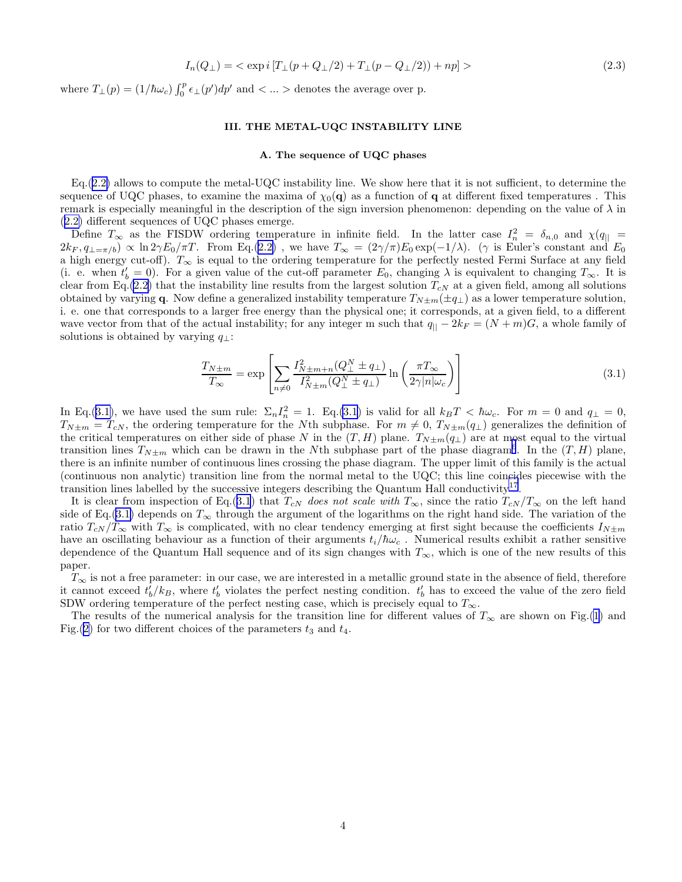$$
I_n(Q_\perp) = \langle \exp i \left[ T_\perp(p + Q_\perp/2) + T_\perp(p - Q_\perp/2) \right] + np \right] \rangle \tag{2.3}
$$

<span id="page-3-0"></span>where  $T_{\perp}(p) = (1/\hbar\omega_c) \int_0^p \epsilon_{\perp}(p') dp'$  and  $\lt ...$  > denotes the average over p.

## III. THE METAL-UQC INSTABILITY LINE

#### A. The sequence of UQC phases

Eq.([2.2\)](#page-2-0) allows to compute the metal-UQC instability line. We show here that it is not sufficient, to determine the sequence of UQC phases, to examine the maxima of  $\chi_0(\mathbf{q})$  as a function of q at different fixed temperatures. This remark is especially meaningful in the description of the sign inversion phenomenon: depending on the value of  $\lambda$  in ([2.2\)](#page-2-0) different sequences of UQC phases emerge.

Define  $T_{\infty}$  as the FISDW ordering temperature in infinite field. In the latter case  $I_n^2 = \delta_{n,0}$  and  $\chi(q_{\parallel} =$  $2k_F, q_{\perp=\pi/b} \propto \ln 2\gamma E_0/\pi T$ . From Eq.([2.2\)](#page-2-0), we have  $T_{\infty} = (2\gamma/\pi)E_0 \exp(-1/\lambda)$ . ( $\gamma$  is Euler's constant and  $E_0$ a high energy cut-off).  $T_{\infty}$  is equal to the ordering temperature for the perfectly nested Fermi Surface at any field (i. e. when  $t'_b = 0$ ). For a given value of the cut-off parameter  $E_0$ , changing  $\lambda$  is equivalent to changing  $T_{\infty}$ . It is clear from Eq.[\(2.2\)](#page-2-0) that the instability line results from the largest solution  $T_{cN}$  at a given field, among all solutions obtained by varying q. Now define a generalized instability temperature  $T_{N\pm m}(\pm q_{\perp})$  as a lower temperature solution, i. e. one that corresponds to a larger free energy than the physical one; it corresponds, at a given field, to a different wave vector from that of the actual instability; for any integer m such that  $q_{\parallel} - 2k_F = (N + m)G$ , a whole family of solutions is obtained by varying  $q_{\perp}$ :

$$
\frac{T_{N\pm m}}{T_{\infty}} = \exp\left[\sum_{n\neq 0} \frac{I_{N\pm m+n}^2(Q_{\perp}^N \pm q_{\perp})}{I_{N\pm m}^2(Q_{\perp}^N \pm q_{\perp})}\ln\left(\frac{\pi T_{\infty}}{2\gamma |n|\omega_c}\right)\right]
$$
(3.1)

In Eq.(3.1), we have used the sum rule:  $\Sigma_n I_n^2 = 1$ . Eq.(3.1) is valid for all  $k_B T < \hbar \omega_c$ . For  $m = 0$  and  $q_{\perp} = 0$ ,  $T_{N\pm m} = T_{cN}$ , the ordering temperature for the Nth subphase. For  $m \neq 0$ ,  $T_{N\pm m}(q_{\perp})$  generalizes the definition of the critical temperatures on either side of phase N in the  $(T, H)$  plane.  $T_{N\pm m}(q_{\perp})$  are at most equal to the virtual transition lines  $T_{N\pm m}$  which can be drawn in the Nth subphase part of the phase diagram<sup>[6](#page-16-0)</sup>. In the  $(T, H)$  plane, there is an infinite number of continuous lines crossing the phase diagram. The upper limit of this family is the actual (continuous non analytic) transition line from the normal metal to the UQC; this line coincides piecewise with the transition lines labelled by the successive integers describing the Quantum Hall conductivity<sup>[17](#page-16-0)</sup>.

It is clear from inspection of Eq.(3.1) that  $T_{cN}$  does not scale with  $T_{\infty}$ , since the ratio  $T_{cN}/T_{\infty}$  on the left hand side of Eq.(3.1) depends on  $T_{\infty}$  through the argument of the logarithms on the right hand side. The variation of the ratio  $T_{cN}/T_{\infty}$  with  $T_{\infty}$  is complicated, with no clear tendency emerging at first sight because the coefficients  $I_{N\pm m}$ have an oscillating behaviour as a function of their arguments  $t_i/\hbar\omega_c$ . Numerical results exhibit a rather sensitive dependence of the Quantum Hall sequence and of its sign changes with  $T_{\infty}$ , which is one of the new results of this paper.

 $T_{\infty}$  is not a free parameter: in our case, we are interested in a metallic ground state in the absence of field, therefore it cannot exceed  $t'_b/k_B$ , where  $t'_b$  violates the perfect nesting condition.  $t'_b$  has to exceed the value of the zero field SDW ordering temperature of the perfect nesting case, which is precisely equal to  $T_{\infty}$ .

The results of the numerical analysis for the transition line for different values of  $T_{\infty}$  are shown on Fig.[\(1](#page-4-0)) and Fig.([2\)](#page-4-0) for two different choices of the parameters  $t_3$  and  $t_4$ .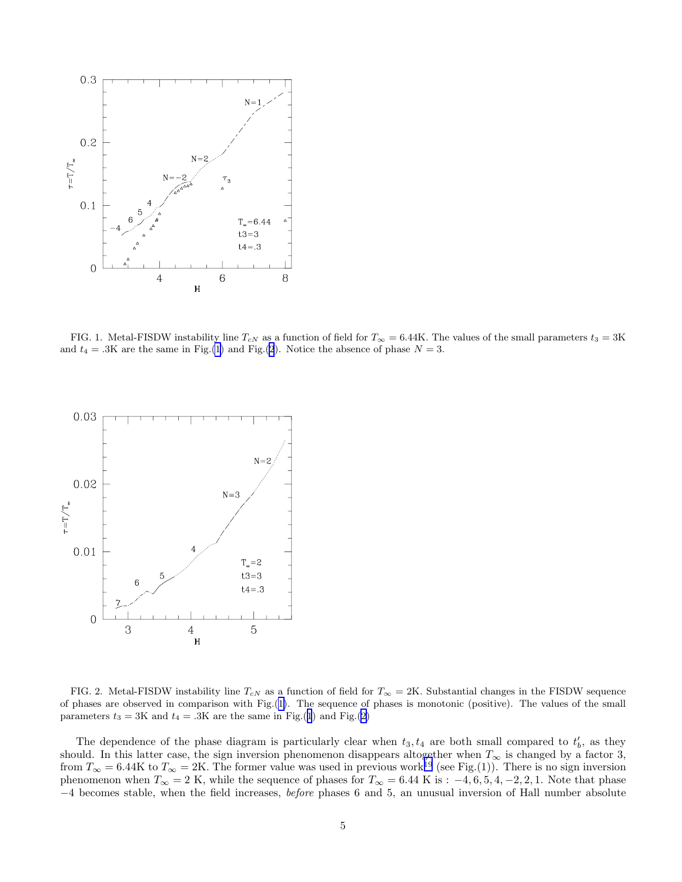<span id="page-4-0"></span>

FIG. 1. Metal-FISDW instability line  $T_{cN}$  as a function of field for  $T_{\infty} = 6.44K$ . The values of the small parameters  $t_3 = 3K$ and  $t_4 = .3K$  are the same in Fig.(1) and Fig.(2). Notice the absence of phase  $N = 3$ .



FIG. 2. Metal-FISDW instability line  $T_{cN}$  as a function of field for  $T_{\infty} = 2K$ . Substantial changes in the FISDW sequence of phases are observed in comparison with Fig.(1). The sequence of phases is monotonic (positive). The values of the small parameters  $t_3 = 3K$  and  $t_4 = .3K$  are the same in Fig.(1) and Fig.(2)

The dependence of the phase diagram is particularly clear when  $t_3, t_4$  are both small compared to  $t'_b$ , as they should. In this latter case, the sign inversion phenomenon disappears altogether when  $T_{\infty}$  is changed by a factor 3, should. from  $T_{\infty} = 6.44$ K to  $T_{\infty} = 2$ K. The former value was used in previous work<sup>[19](#page-16-0)</sup> (see Fig.(1)). There is no sign inversion phenomenon when  $T_{\infty} = 2$  K, while the sequence of phases for  $T_{\infty} = 6.44$  K is :  $-4, 6, 5, 4, -2, 2, 1$ . Note that phase −4 becomes stable, when the field increases, before phases 6 and 5, an unusual inversion of Hall number absolute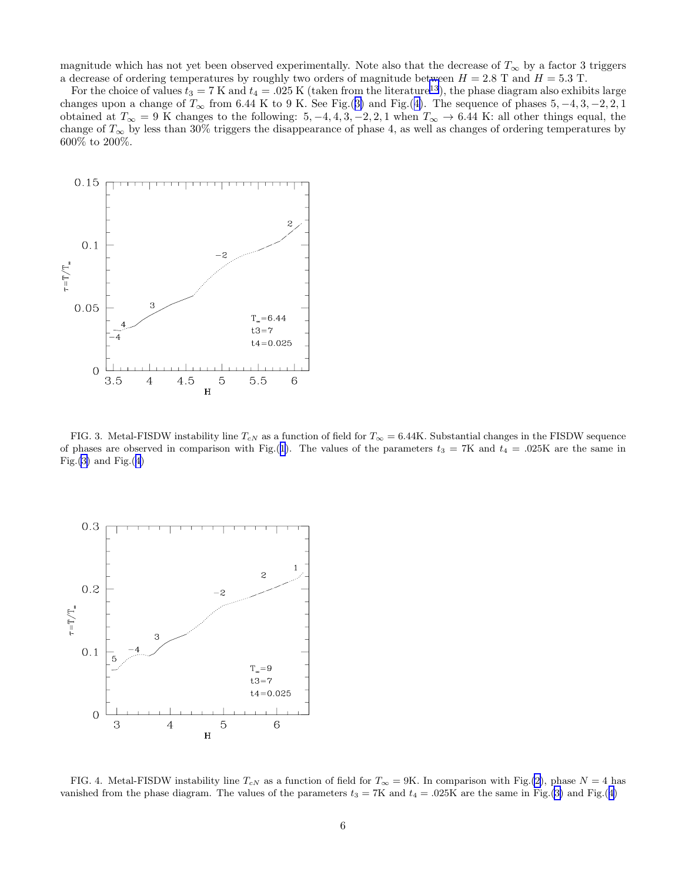magnitude which has not yet been observed experimentally. Note also that the decrease of  $T_{\infty}$  by a factor 3 triggers a decrease of ordering temperatures by roughly two orders of magnitude between  $H = 2.8$  T and  $H = 5.3$  T.

For the choice of values  $t_3 = 7$  K and  $t_4 = .025$  K (taken from the literature<sup>[13](#page-16-0)</sup>), the phase diagram also exhibits large changes upon a change of  $T_{\infty}$  from 6.44 K to 9 K. See Fig.(3) and Fig.(4). The sequence of phases 5, -4, 3, -2, 2, 1 obtained at  $T_{\infty} = 9$  K changes to the following: 5, -4, 4, 3, -2, 2, 1 when  $T_{\infty} \to 6.44$  K: all other things equal, the change of  $T_{\infty}$  by less than 30% triggers the disappearance of phase 4, as well as changes of ordering temperatures by 600% to 200%.



FIG. 3. Metal-FISDW instability line  $T_{cN}$  as a function of field for  $T_{\infty} = 6.44K$ . Substantial changes in the FISDW sequence of phases are observed in comparison with Fig.([1](#page-4-0)). The values of the parameters  $t_3 = 7K$  and  $t_4 = .025K$  are the same in Fig. $(3)$  and Fig. $(4)$ 



FIG. 4. Metal-FISDW instability line  $T_{cN}$  as a function of field for  $T_{\infty} = 9K$ . In comparison with Fig.[\(2](#page-4-0)), phase  $N = 4$  has vanished from the phase diagram. The values of the parameters  $t_3 = 7K$  and  $t_4 = .025K$  are the same in Fig.(3) and Fig.(4)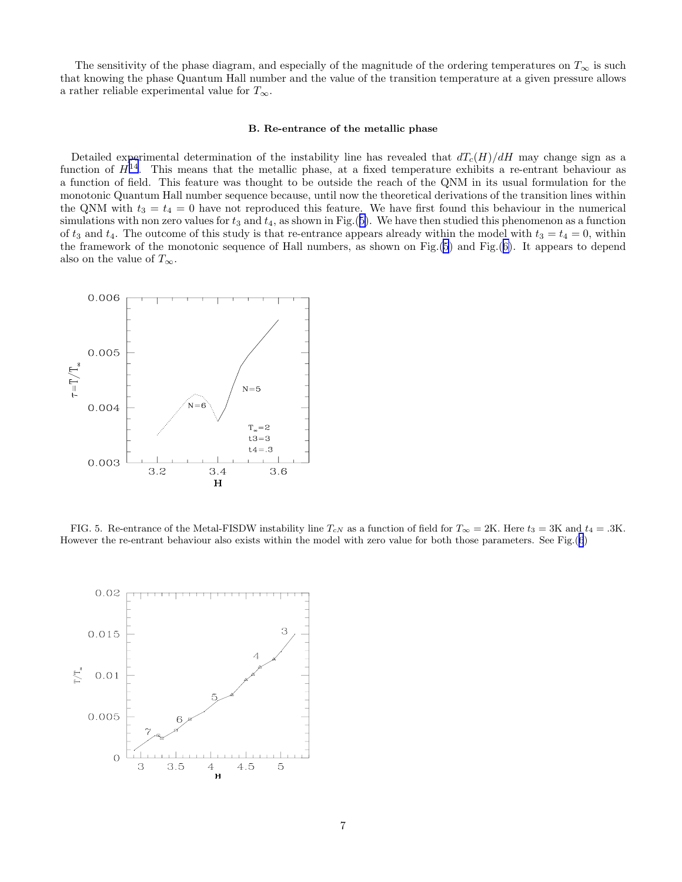The sensitivity of the phase diagram, and especially of the magnitude of the ordering temperatures on  $T_{\infty}$  is such that knowing the phase Quantum Hall number and the value of the transition temperature at a given pressure allows a rather reliable experimental value for  $T_{\infty}.$ 

#### B. Re-entrance of the metallic phase

Detailed experimental determination of the instability line has revealed that  $dT_c(H)/dH$  may change sign as a function of  $H^{14}$  $H^{14}$  $H^{14}$ . This means that the metallic phase, at a fixed temperature exhibits a re-entrant behaviour as a function of field. This feature was thought to be outside the reach of the QNM in its usual formulation for the monotonic Quantum Hall number sequence because, until now the theoretical derivations of the transition lines within the QNM with  $t_3 = t_4 = 0$  have not reproduced this feature. We have first found this behaviour in the numerical simulations with non zero values for  $t_3$  and  $t_4$ , as shown in Fig.(5). We have then studied this phenomenon as a function of  $t_3$  and  $t_4$ . The outcome of this study is that re-entrance appears already within the model with  $t_3 = t_4 = 0$ , within the framework of the monotonic sequence of Hall numbers, as shown on Fig.(5) and Fig.([6\)](#page-7-0). It appears to depend also on the value of  $T_{\infty}$ .



FIG. 5. Re-entrance of the Metal-FISDW instability line  $T_{cN}$  as a function of field for  $T_{\infty} = 2K$ . Here  $t_3 = 3K$  and  $t_4 = .3K$ . However the re-entrant behaviour also exists within the model with zero value for both those parameters. See Fig.([6](#page-7-0))

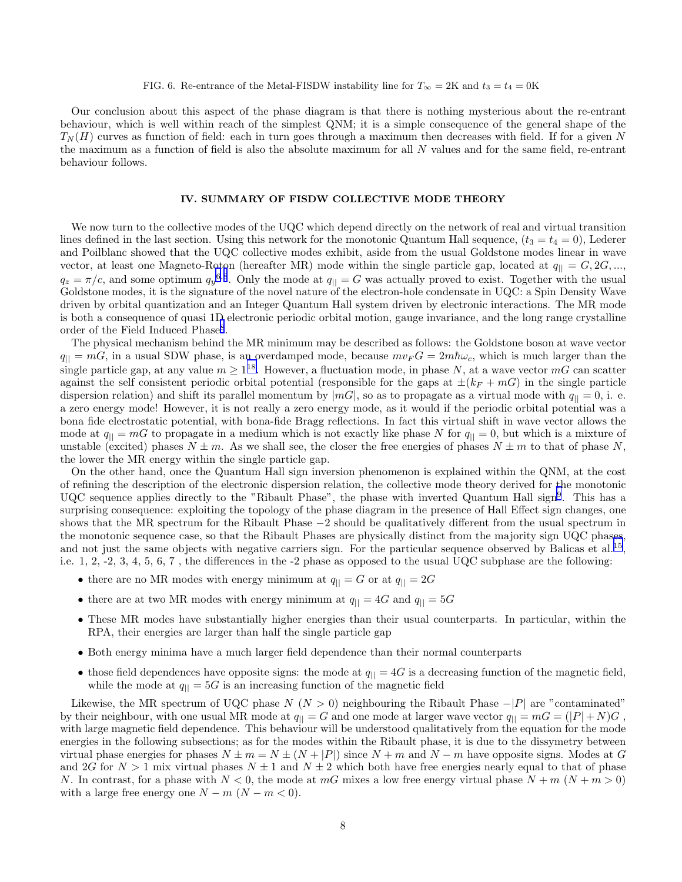# FIG. 6. Re-entrance of the Metal-FISDW instability line for  $T_{\infty} = 2K$  and  $t_3 = t_4 = 0K$

<span id="page-7-0"></span>Our conclusion about this aspect of the phase diagram is that there is nothing mysterious about the re-entrant behaviour, which is well within reach of the simplest QNM; it is a simple consequence of the general shape of the  $T_N(H)$  curves as function of field: each in turn goes through a maximum then decreases with field. If for a given N the maximum as a function of field is also the absolute maximum for all N values and for the same field, re-entrant behaviour follows.

#### IV. SUMMARY OF FISDW COLLECTIVE MODE THEORY

We now turn to the collective modes of the UQC which depend directly on the network of real and virtual transition lines defined in the last section. Using this network for the monotonic Quantum Hall sequence,  $(t_3 = t_4 = 0)$ , Lederer and Poilblanc showed that the UQC collective modes exhibit, aside from the usual Goldstone modes linear in wave vector, at least one Magneto-Roton (hereafter MR) mode within the single particle gap, located at  $q_{\parallel} = G, 2G, ...,$  $q_z = \pi/c$ , and some optimum  $q_y^{6,8}$  $q_y^{6,8}$  $q_y^{6,8}$  $q_y^{6,8}$  $q_y^{6,8}$ . Only the mode at  $q_{||} = G$  was actually proved to exist. Together with the usual Goldstone modes, it is the signature of the novel nature of the electron-hole condensate in UQC: a Spin Density Wave driven by orbital quantization and an Integer Quantum Hall system driven by electronic interactions. The MR mode is both a consequence of quasi 1D electronic periodic orbital motion, gauge invariance, and the long range crystalline order of the Field Induced Phase<sup>[8](#page-16-0)</sup>.

The physical mechanism behind the MR minimum may be described as follows: the Goldstone boson at wave vector  $q_{\parallel} = mG$ , in a usual SDW phase, is an overdamped mode, because  $mv_FG = 2m\hbar\omega_c$ , which is much larger than the single particle gap, at any value  $m \ge 1^{18}$  $m \ge 1^{18}$  $m \ge 1^{18}$ . However, a fluctuation mode, in phase N, at a wave vector mG can scatter against the self consistent periodic orbital potential (responsible for the gaps at  $\pm(k_F + mG)$ ) in the single particle dispersion relation) and shift its parallel momentum by  $|mG|$ , so as to propagate as a virtual mode with  $q_{\parallel} = 0$ , i. e. a zero energy mode! However, it is not really a zero energy mode, as it would if the periodic orbital potential was a bona fide electrostatic potential, with bona-fide Bragg reflections. In fact this virtual shift in wave vector allows the mode at  $q_{\parallel} = mG$  to propagate in a medium which is not exactly like phase N for  $q_{\parallel} = 0$ , but which is a mixture of unstable (excited) phases  $N \pm m$ . As we shall see, the closer the free energies of phases  $N \pm m$  to that of phase N, the lower the MR energy within the single particle gap.

On the other hand, once the Quantum Hall sign inversion phenomenon is explained within the QNM, at the cost of refining the description of the electronic dispersion relation, the collective mode theory derived for the monotonic UQC sequence applies directly to the "Ribault Phase", the phase with inverted Quantum Hall sign<sup>[9](#page-16-0)</sup>. This has a surprising consequence: exploiting the topology of the phase diagram in the presence of Hall Effect sign changes, one shows that the MR spectrum for the Ribault Phase −2 should be qualitatively different from the usual spectrum in the monotonic sequence case, so that the Ribault Phases are physically distinct from the majority sign UQC phases, and not just the same objects with negative carriers sign. For the particular sequence observed by Balicas et al.<sup>[15](#page-16-0)</sup>, i.e. 1, 2, -2, 3, 4, 5, 6, 7 , the differences in the -2 phase as opposed to the usual UQC subphase are the following:

- there are no MR modes with energy minimum at  $q_{\parallel} = G$  or at  $q_{\parallel} = 2G$
- there are at two MR modes with energy minimum at  $q_{\parallel} = 4G$  and  $q_{\parallel} = 5G$
- These MR modes have substantially higher energies than their usual counterparts. In particular, within the RPA, their energies are larger than half the single particle gap
- Both energy minima have a much larger field dependence than their normal counterparts
- those field dependences have opposite signs: the mode at  $q_{\parallel} = 4G$  is a decreasing function of the magnetic field, while the mode at  $q_{\parallel} = 5G$  is an increasing function of the magnetic field

Likewise, the MR spectrum of UQC phase  $N(N > 0)$  neighbouring the Ribault Phase  $-|P|$  are "contaminated" by their neighbour, with one usual MR mode at  $q_{\parallel} = G$  and one mode at larger wave vector  $q_{\parallel} = mG = (|P| + N)G$ , with large magnetic field dependence. This behaviour will be understood qualitatively from the equation for the mode energies in the following subsections; as for the modes within the Ribault phase, it is due to the dissymetry between virtual phase energies for phases  $N \pm m = N \pm (N + |P|)$  since  $N + m$  and  $N - m$  have opposite signs. Modes at G and 2G for  $N > 1$  mix virtual phases  $N \pm 1$  and  $N \pm 2$  which both have free energies nearly equal to that of phase N. In contrast, for a phase with  $N < 0$ , the mode at mG mixes a low free energy virtual phase  $N + m$   $(N + m > 0)$ with a large free energy one  $N - m$  ( $N - m < 0$ ).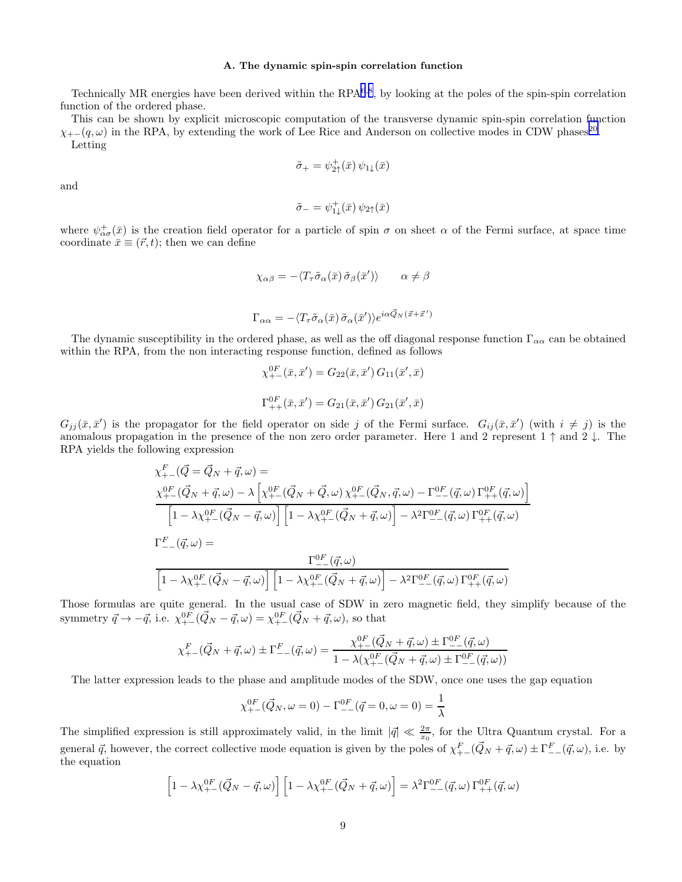#### A. The dynamic spin-spin correlation function

<span id="page-8-0"></span>Technically MR energies have been derived within the RPA<sup>[6](#page-16-0),[8](#page-16-0)</sup>, by looking at the poles of the spin-spin correlation function of the ordered phase.

This can be shown by explicit microscopic computation of the transverse dynamic spin-spin correlation function  $\chi_{+-}(q,\omega)$  in the RPA, by extending the work of Lee Rice and Anderson on collective modes in CDW phases<sup>[20](#page-16-0)</sup>. Letting

$$
\tilde{\sigma}_+ = \psi^+_{2\uparrow}(\bar{x}) \, \psi_{1\downarrow}(\bar{x})
$$

and

$$
\tilde{\sigma}_{-} = \psi_{1\downarrow}^{+}(\bar{x}) \,\psi_{2\uparrow}(\bar{x})
$$

where  $\psi_{\alpha\sigma}^+(\bar{x})$  is the creation field operator for a particle of spin  $\sigma$  on sheet  $\alpha$  of the Fermi surface, at space time coordinate  $\bar{x} \equiv (\vec{r}, t)$ ; then we can define

$$
\chi_{\alpha\beta} = -\langle T_{\tau}\tilde{\sigma}_{\alpha}(\bar{x})\tilde{\sigma}_{\beta}(\bar{x}')\rangle \qquad \alpha \neq \beta
$$

$$
\Gamma_{\alpha\alpha} = -\langle T_{\tau}\tilde{\sigma}_{\alpha}(\bar{x})\,\tilde{\sigma}_{\alpha}(\bar{x}')\rangle e^{i\alpha\vec{Q}_{N}(\vec{x}+\vec{x}')}
$$

The dynamic susceptibility in the ordered phase, as well as the off diagonal response function  $\Gamma_{\alpha\alpha}$  can be obtained within the RPA, from the non interacting response function, defined as follows

$$
\chi_{+-}^{0F}(\bar{x}, \bar{x}') = G_{22}(\bar{x}, \bar{x}') G_{11}(\bar{x}', \bar{x})
$$
  

$$
\Gamma_{++}^{0F}(\bar{x}, \bar{x}') = G_{21}(\bar{x}, \bar{x}') G_{21}(\bar{x}', \bar{x})
$$

 $G_{jj}(\bar{x}, \bar{x}')$  is the propagator for the field operator on side j of the Fermi surface.  $G_{ij}(\bar{x}, \bar{x}')$  (with  $i \neq j$ ) is the anomalous propagation in the presence of the non zero order parameter. Here 1 and 2 represent  $1 \uparrow$  and  $2 \downarrow$ . The RPA yields the following expression

i

$$
\chi_{+-}^F(\vec{Q} = \vec{Q}_N + \vec{q}, \omega) =
$$
\n
$$
\frac{\chi_{+-}^{0F}(\vec{Q}_N + \vec{q}, \omega) - \lambda \left[ \chi_{+-}^{0F}(\vec{Q}_N + \vec{Q}, \omega) \chi_{+-}^{0F}(\vec{Q}_N, \vec{q}, \omega) - \Gamma_{--}^{0F}(\vec{q}, \omega) \Gamma_{++}^{0F}(\vec{q}, \omega) \right]}{\left[ 1 - \lambda \chi_{+-}^{0F}(\vec{Q}_N - \vec{q}, \omega) \right] \left[ 1 - \lambda \chi_{+-}^{0F}(\vec{Q}_N + \vec{q}, \omega) \right] - \lambda^2 \Gamma_{--}^{0F}(\vec{q}, \omega) \Gamma_{++}^{0F}(\vec{q}, \omega)}
$$
\n
$$
\Gamma_{--}^F(\vec{q}, \omega) =
$$
\n
$$
\frac{\Gamma_{--}^{0F}(\vec{q}, \omega)}{\left[ 1 - \lambda \chi_{+-}^{0F}(\vec{Q}_N - \vec{q}, \omega) \right] \left[ 1 - \lambda \chi_{+-}^{0F}(\vec{Q}_N + \vec{q}, \omega) \right] - \lambda^2 \Gamma_{--}^{0F}(\vec{q}, \omega) \Gamma_{++}^{0F}(\vec{q}, \omega)}
$$

Those formulas are quite general. In the usual case of SDW in zero magnetic field, they simplify because of the symmetry  $\vec{q} \to -\vec{q}$ , i.e.  $\chi_{+-}^{0F}(\vec{Q}_N - \vec{q}, \omega) = \chi_{+-}^{0F}(\vec{Q}_N + \vec{q}, \omega)$ , so that

$$
\chi_{+-}^F(\vec{Q}_N+\vec{q},\omega) \pm \Gamma_{--}^F(\vec{q},\omega) = \frac{\chi_{+-}^{0F}(\vec{Q}_N+\vec{q},\omega) \pm \Gamma_{--}^{0F}(\vec{q},\omega)}{1 - \lambda(\chi_{+-}^{0F}(\vec{Q}_N+\vec{q},\omega) \pm \Gamma_{--}^{0F}(\vec{q},\omega))}
$$

The latter expression leads to the phase and amplitude modes of the SDW, once one uses the gap equation

$$
\chi_{+-}^{0F}(\vec{Q}_N,\omega=0) - \Gamma_{--}^{0F}(\vec{q}=0,\omega=0) = \frac{1}{\lambda}
$$

The simplified expression is still approximately valid, in the limit  $|\vec{q}| \ll \frac{2\pi}{x_0}$ , for the Ultra Quantum crystal. For a general  $\vec{q}$ , however, the correct collective mode equation is given by the poles of  $\chi_{+-}^F(\vec{Q}_N + \vec{q}, \omega) \pm \Gamma_{--}^F(\vec{q}, \omega)$ , i.e. by the equation

$$
\[1 - \lambda \chi_{+-}^{0F}(\vec{Q}_N - \vec{q}, \omega)\] \left[1 - \lambda \chi_{+-}^{0F}(\vec{Q}_N + \vec{q}, \omega)\right] = \lambda^2 \Gamma_{--}^{0F}(\vec{q}, \omega) \Gamma_{++}^{0F}(\vec{q}, \omega)
$$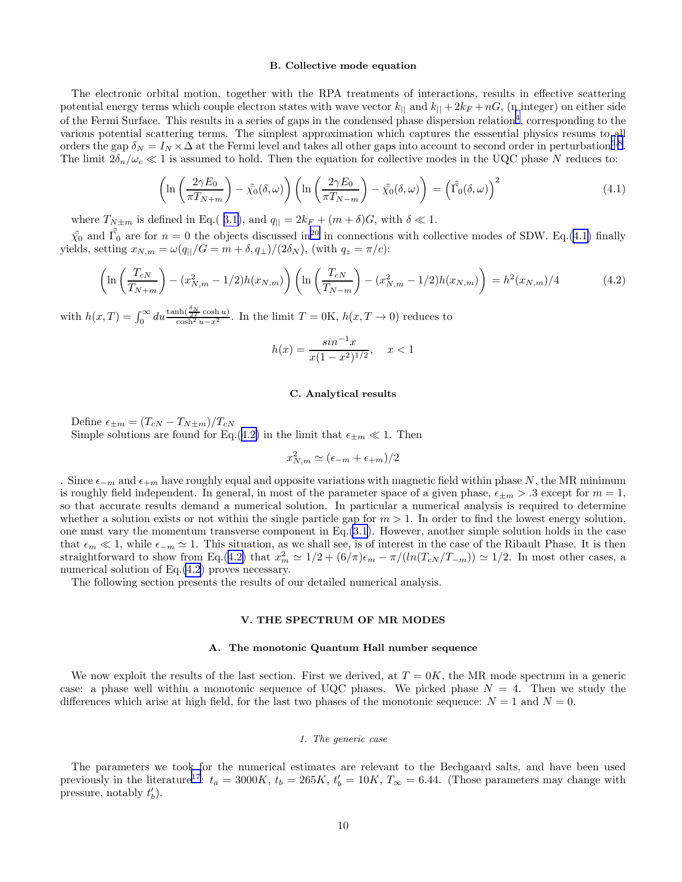#### B. Collective mode equation

<span id="page-9-0"></span>The electronic orbital motion, together with the RPA treatments of interactions, results in effective scattering potential energy terms which couple electron states with wave vector  $k_{\parallel}$  and  $k_{\parallel} + 2k_F + nG$ , (n integer) on either side of the Fermi Surface. This results in a series of gaps in the condensed phase dispersion relation<sup>[4](#page-16-0)</sup>, corresponding to the various potential scattering terms. The simplest approximation which captures the esssential physics resums to all orders the gap  $\delta_N = I_N \times \Delta$  at the Fermi level and takes all other gaps into account to second order in perturbation<sup>[6](#page-16-0),[8](#page-16-0)</sup>. The limit  $2\delta_n/\omega_c \ll 1$  is assumed to hold. Then the equation for collective modes in the UQC phase N reduces to:

$$
\left(\ln\left(\frac{2\gamma E_0}{\pi T_{N+m}}\right) - \tilde{\chi_0}(\delta,\omega)\right) \left(\ln\left(\frac{2\gamma E_0}{\pi T_{N-m}}\right) - \tilde{\chi_0}(\delta,\omega)\right) = \left(\tilde{\Gamma_0}(\delta,\omega)\right)^2\tag{4.1}
$$

where  $T_{N\pm m}$  is defined in Eq.( [3.1\)](#page-3-0), and  $q_{\parallel} = 2k_F + (m + \delta)G$ , with  $\delta \ll 1$ .

 $\tilde{\chi}_0$  and  $\tilde{\Gamma}_0$  are for  $n = 0$  the objects discussed in<sup>[20](#page-16-0)</sup> in connections with collective modes of SDW. Eq.([4.1\)](#page-8-0) finally yields, setting  $x_{N,m} = \omega(q_{\parallel}/G = m + \delta, q_{\perp})/(2\delta_N)$ , (with  $q_z = \pi/c$ ):

$$
\left(\ln\left(\frac{T_{cN}}{T_{N+m}}\right) - (x_{N,m}^2 - 1/2)h(x_{N,m})\right)\left(\ln\left(\frac{T_{cN}}{T_{N-m}}\right) - (x_{N,m}^2 - 1/2)h(x_{N,m})\right) = h^2(x_{N,m})/4\tag{4.2}
$$

with  $h(x,T) = \int_0^\infty du \frac{\tanh(\frac{\delta_N}{2T}\cosh u)}{\cosh^2 u - x^2}$ . In the limit  $T = 0$ K,  $h(x,T \to 0)$  reduces to

$$
h(x) = \frac{\sin^{-1}x}{x(1-x^2)^{1/2}}, \quad x < 1
$$

#### C. Analytical results

Define  $\epsilon_{\pm m} = (T_{cN} - T_{N \pm m})/T_{cN}$ Simple solutions are found for Eq.(4.2) in the limit that  $\epsilon_{\pm m} \ll 1$ . Then

$$
x_{N,m}^2 \simeq (\epsilon_{-m} + \epsilon_{+m})/2
$$

. Since  $\epsilon_{-m}$  and  $\epsilon_{+m}$  have roughly equal and opposite variations with magnetic field within phase N, the MR minimum is roughly field independent. In general, in most of the parameter space of a given phase,  $\epsilon_{\pm m} > .3$  except for  $m = 1$ , so that accurate results demand a numerical solution. In particular a numerical analysis is required to determine whether a solution exists or not within the single particle gap for  $m > 1$ . In order to find the lowest energy solution, one must vary the momentum transverse component in Eq.[\(3.1](#page-3-0)). However, another simple solution holds in the case that  $\epsilon_m \ll 1$ , while  $\epsilon_{-m} \simeq 1$ . This situation, as we shall see, is of interest in the case of the Ribault Phase. It is then straightforward to show from Eq.(4.2) that  $x_m^2 \simeq 1/2 + (6/\pi)\epsilon_m - \pi/(ln(T_{cN}/T_{-m})) \simeq 1/2$ . In most other cases, a numerical solution of Eq.(4.2) proves necessary.

The following section presents the results of our detailed numerical analysis.

#### V. THE SPECTRUM OF MR MODES

### A. The monotonic Quantum Hall number sequence

We now exploit the results of the last section. First we derived, at  $T = 0K$ , the MR mode spectrum in a generic case: a phase well within a monotonic sequence of UQC phases. We picked phase  $N = 4$ . Then we study the differences which arise at high field, for the last two phases of the monotonic sequence:  $N = 1$  and  $N = 0$ .

#### 1. The generic case

The parameters we took for the numerical estimates are relevant to the Bechgaard salts, and have been used previously in the literature<sup>[17](#page-16-0)</sup>:  $t_a = 3000K$ ,  $t_b = 265K$ ,  $t'_b = 10K$ ,  $T_{\infty} = 6.44$ . (Those parameters may change with pressure, notably  $t'_b$ ).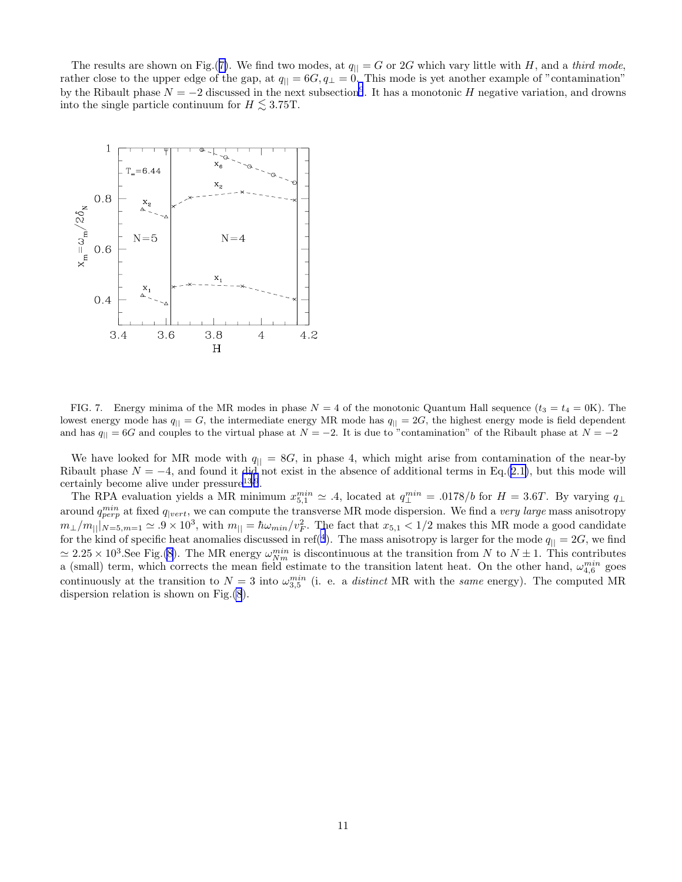The results are shown on Fig.(7). We find two modes, at  $q_{\parallel} = G$  or 2G which vary little with H, and a third mode, rather close to the upper edge of the gap, at  $q_{\parallel} = 6G, q_{\perp} = 0$ . This mode is yet another example of "contamination" by the Ribault phase  $N = -2$  discussed in the next subsection<sup>[9](#page-16-0)</sup>. It has a monotonic H negative variation, and drowns into the single particle continuum for  $H \lesssim 3.75$ T.



FIG. 7. Energy minima of the MR modes in phase  $N = 4$  of the monotonic Quantum Hall sequence  $(t_3 = t_4 = 0$ K). The lowest energy mode has  $q_{\parallel} = G$ , the intermediate energy MR mode has  $q_{\parallel} = 2G$ , the highest energy mode is field dependent and has  $q_{\parallel} = 6G$  and couples to the virtual phase at  $N = -2$ . It is due to "contamination" of the Ribault phase at  $N = -2$ 

We have looked for MR mode with  $q_{\parallel} = 8G$ , in phase 4, which might arise from contamination of the near-by Ribault phase  $N = -4$ , and found it did not exist in the absence of additional terms in Eq.([2.1\)](#page-2-0), but this mode will certainly become alive under  $presure<sup>13,9</sup>$  $presure<sup>13,9</sup>$  $presure<sup>13,9</sup>$  $presure<sup>13,9</sup>$  $presure<sup>13,9</sup>$ .

The RPA evaluation yields a MR minimum  $x_{5,1}^{min} \approx .4$ , located at  $q_{\perp}^{min} = .0178/b$  for  $H = 3.6T$ . By varying  $q_{\perp}$ around  $q_{perp}^{min}$  at fixed  $q_{|vert}$ , we can compute the transverse MR mode dispersion. We find a very large mass anisotropy  $m_\perp/m_{||}$   $_{N=5,m=1}$   $\simeq .9 \times 10^3$ , with  $m_{||} = \hbar \omega_{min}/v_F^2$ . The fact that  $x_{5,1}$  < 1/2 makes this MR mode a good candidate for the kind of specific heat anomalies discussed in ref<sup>([4](#page-16-0)</sup>). The mass anisotropy is larger for the mode  $q_{\parallel} = 2G$ , we find  $\simeq 2.25 \times 10^3$ . See Fig.[\(8](#page-11-0)). The MR energy  $\omega_{Nm}^{min}$  is discontinuous at the transition from N to  $N \pm 1$ . This contributes a (small) term, which corrects the mean field estimate to the transition latent heat. On the other hand,  $\omega_{4,6}^{min}$  goes continuously at the transition to  $N=3$  into  $\omega_{3,5}^{min}$  (i. e. a *distinct* MR with the *same* energy). The computed MR dispersion relation is shown on Fig.[\(8](#page-11-0)).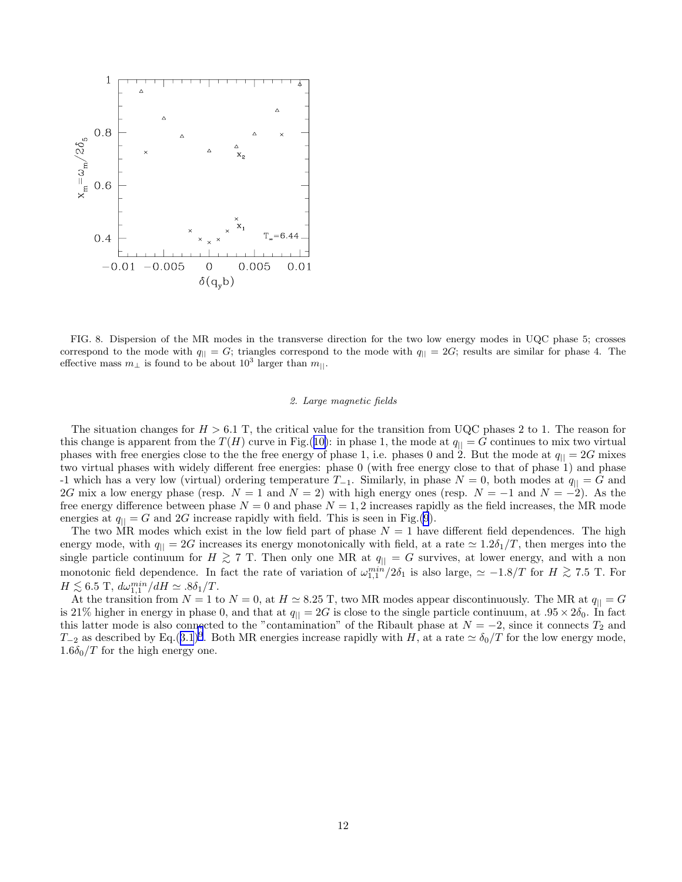<span id="page-11-0"></span>

FIG. 8. Dispersion of the MR modes in the transverse direction for the two low energy modes in UQC phase 5; crosses correspond to the mode with  $q_{\parallel} = G$ ; triangles correspond to the mode with  $q_{\parallel} = 2G$ ; results are similar for phase 4. The effective mass  $m_{\perp}$  is found to be about  $10^3$  larger than  $m_{\parallel}$ .

## 2. Large magnetic fields

The situation changes for  $H > 6.1$  T, the critical value for the transition from UQC phases 2 to 1. The reason for this change is apparent from the  $T(H)$  curve in Fig.([10\)](#page-12-0): in phase 1, the mode at  $q_{\parallel} = G$  continues to mix two virtual phases with free energies close to the the free energy of phase 1, i.e. phases 0 and 2. But the mode at  $q_{\parallel} = 2G$  mixes two virtual phases with widely different free energies: phase 0 (with free energy close to that of phase 1) and phase -1 which has a very low (virtual) ordering temperature  $T_{-1}$ . Similarly, in phase  $N = 0$ , both modes at  $q_{\parallel} = G$  and 2G mix a low energy phase (resp.  $N = 1$  and  $N = 2$ ) with high energy ones (resp.  $N = -1$  and  $N = -2$ ). As the free energy difference between phase  $N = 0$  and phase  $N = 1, 2$  increases rapidly as the field increases, the MR mode energies at  $q_{\parallel} = G$  and 2G increase rapidly with field. This is seen in Fig.[\(9](#page-12-0)).

The two MR modes which exist in the low field part of phase  $N = 1$  have different field dependences. The high energy mode, with  $q_{\parallel} = 2G$  increases its energy monotonically with field, at a rate  $\simeq 1.2\delta_1/T$ , then merges into the single particle continuum for  $H \gtrsim 7$  T. Then only one MR at  $q_{\parallel} = G$  survives, at lower energy, and with a non monotonic field dependence. In fact the rate of variation of  $\omega_{1,1}^{min}/2\delta_1$  is also large,  $\simeq -1.8/T$  for  $H \gtrsim 7.5$  T. For  $H \lesssim 6.5 \text{ T}, d\omega_{1,1}^{min}/dH \simeq .8\delta_1/T.$ <br>At the transition from  $N-1$  t

At the transition from  $N = 1$  to  $N = 0$ , at  $H \simeq 8.25$  T, two MR modes appear discontinuously. The MR at  $q_{\parallel} = G$ is 21% higher in energy in phase 0, and that at  $q_{\parallel} = 2G$  is close to the single particle continuum, at  $.95 \times 2\delta_0$ . In fact this latter mode is also connected to the "contamination" of the Ribault phase at  $N = -2$ , since it connects  $T_2$  and  $T_{-2}$  as described by Eq.([3.1](#page-3-0))<sup>[9](#page-16-0)</sup>. Both MR energies increase rapidly with H, at a rate  $\simeq \delta_0/T$  for the low energy mode,  $1.6\delta_0/T$  for the high energy one.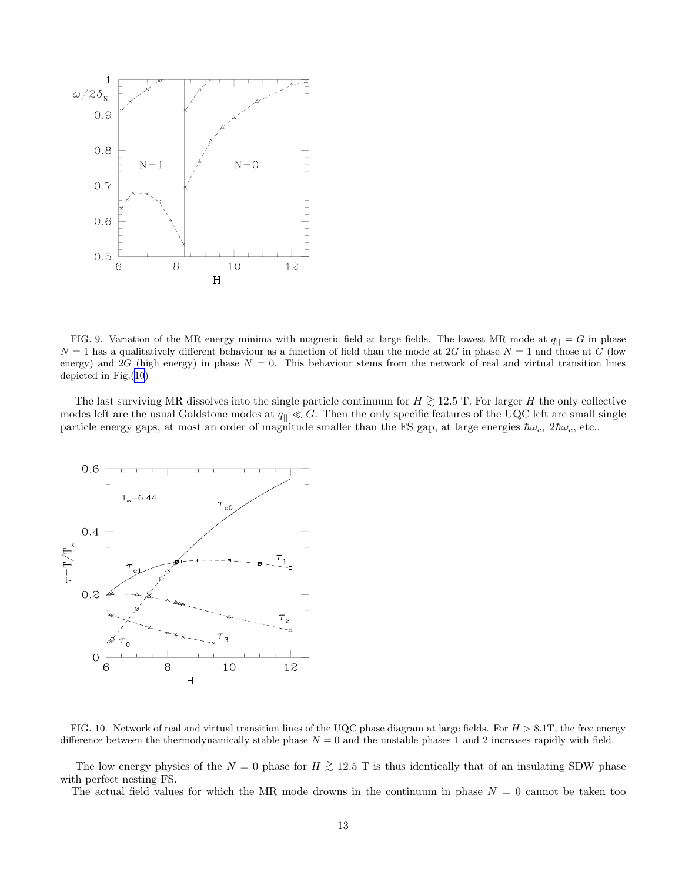<span id="page-12-0"></span>

FIG. 9. Variation of the MR energy minima with magnetic field at large fields. The lowest MR mode at  $q_{\parallel} = G$  in phase  $N = 1$  has a qualitatively different behaviour as a function of field than the mode at 2G in phase  $N = 1$  and those at G (low energy) and 2G (high energy) in phase  $N = 0$ . This behaviour stems from the network of real and virtual transition lines depicted in Fig.(10)

The last surviving MR dissolves into the single particle continuum for  $H \gtrsim 12.5$  T. For larger H the only collective modes left are the usual Goldstone modes at  $q_{\parallel} \ll G$ . Then the only specific features of the UQC left are small single particle energy gaps, at most an order of magnitude smaller than the FS gap, at large energies  $\hbar\omega_c$ ,  $2\hbar\omega_c$ , etc..



FIG. 10. Network of real and virtual transition lines of the UQC phase diagram at large fields. For  $H > 8.1$ T, the free energy difference between the thermodynamically stable phase  $N = 0$  and the unstable phases 1 and 2 increases rapidly with field.

The low energy physics of the  $N = 0$  phase for  $H \gtrsim 12.5$  T is thus identically that of an insulating SDW phase with perfect nesting FS.

The actual field values for which the MR mode drowns in the continuum in phase  $N = 0$  cannot be taken too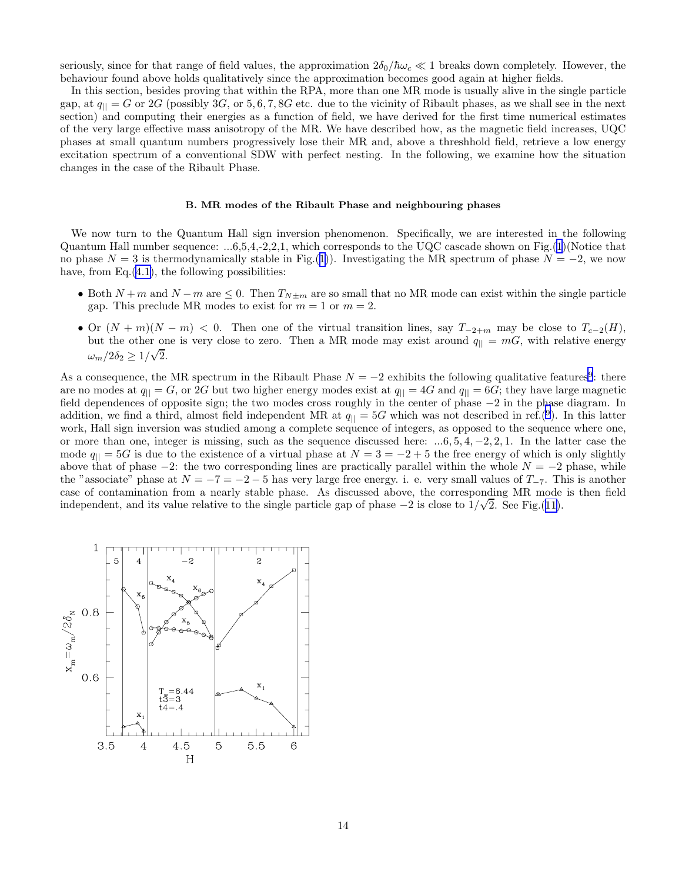seriously, since for that range of field values, the approximation  $2\delta_0/\hbar\omega_c \ll 1$  breaks down completely. However, the behaviour found above holds qualitatively since the approximation becomes good again at higher fields.

In this section, besides proving that within the RPA, more than one MR mode is usually alive in the single particle gap, at  $q_{\parallel} = G$  or 2G (possibly 3G, or 5, 6, 7, 8G etc. due to the vicinity of Ribault phases, as we shall see in the next section) and computing their energies as a function of field, we have derived for the first time numerical estimates of the very large effective mass anisotropy of the MR. We have described how, as the magnetic field increases, UQC phases at small quantum numbers progressively lose their MR and, above a threshhold field, retrieve a low energy excitation spectrum of a conventional SDW with perfect nesting. In the following, we examine how the situation changes in the case of the Ribault Phase.

#### B. MR modes of the Ribault Phase and neighbouring phases

We now turn to the Quantum Hall sign inversion phenomenon. Specifically, we are interested in the following Quantum Hall number sequence: ...6,5,4,-2,2,1, which corresponds to the UQC cascade shown on Fig.([1\)](#page-4-0)(Notice that no phase  $N = 3$  is thermodynamically stable in Fig.([1\)](#page-4-0)). Investigating the MR spectrum of phase  $N = -2$ , we now have, from  $Eq.(4.1)$  $Eq.(4.1)$ , the following possibilities:

- Both  $N+m$  and  $N-m$  are  $\leq 0$ . Then  $T_{N\pm m}$  are so small that no MR mode can exist within the single particle gap. This preclude MR modes to exist for  $m = 1$  or  $m = 2$ .
- Or  $(N + m)(N m) < 0$ . Then one of the virtual transition lines, say  $T_{-2+m}$  may be close to  $T_{c-2}(H)$ , but the other one is very close to zero. Then a MR mode may exist around  $q_{\parallel} = mG$ , with relative energy  $\omega_m/2\delta_2 \geq 1/\sqrt{2}.$

As a consequence, the MR spectrum in the Ribault Phase  $N = -2$  exhibits the following qualitative features<sup>[9](#page-16-0)</sup>: there are no modes at  $q_{\parallel} = G$ , or 2G but two higher energy modes exist at  $q_{\parallel} = 4G$  and  $q_{\parallel} = 6G$ ; they have large magnetic field dependences of opposite sign; the two modes cross roughly in the center of phase −2 in the phase diagram. In addition, we find a third, almost field independent MR at  $q_{\parallel} = 5G$  which was not described in ref.<sup>([9](#page-16-0)</sup>). In this latter work, Hall sign inversion was studied among a complete sequence of integers, as opposed to the sequence where one, or more than one, integer is missing, such as the sequence discussed here:  $...6, 5, 4, -2, 2, 1$ . In the latter case the mode  $q_{\parallel} = 5G$  is due to the existence of a virtual phase at  $N = 3 = -2 + 5$  the free energy of which is only slightly above that of phase  $-2$ : the two corresponding lines are practically parallel within the whole  $N = -2$  phase, while the "associate" phase at  $N = -7 = -2 - 5$  has very large free energy. i. e. very small values of  $T_{-7}$ . This is another case of contamination from a nearly stable phase. As discussed above, the corresponding MR mode is then field independent, and its value relative to the single particle gap of phase  $-2$  is close to  $1/\sqrt{2}$ . See Fig.([11\)](#page-14-0).

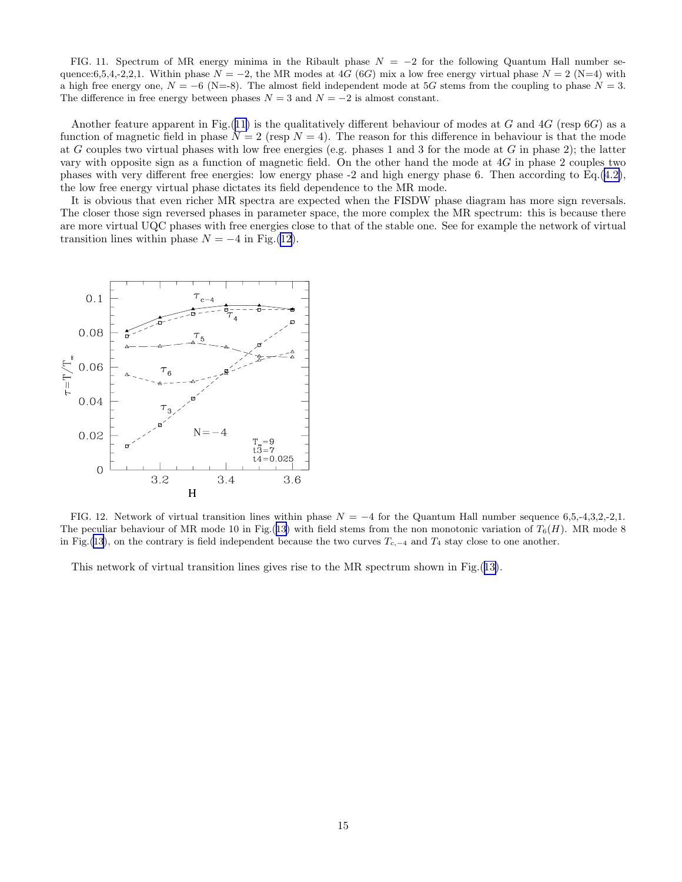<span id="page-14-0"></span>FIG. 11. Spectrum of MR energy minima in the Ribault phase  $N = -2$  for the following Quantum Hall number sequence:6,5,4,-2,2,1. Within phase  $N = -2$ , the MR modes at 4G (6G) mix a low free energy virtual phase  $N = 2$  (N=4) with a high free energy one,  $N = -6$  (N=-8). The almost field independent mode at 5G stems from the coupling to phase  $N = 3$ . The difference in free energy between phases  $N = 3$  and  $N = -2$  is almost constant.

Another feature apparent in Fig.(11) is the qualitatively different behaviour of modes at G and  $4G$  (resp  $6G$ ) as a function of magnetic field in phase  $N = 2$  (resp  $N = 4$ ). The reason for this difference in behaviour is that the mode at G couples two virtual phases with low free energies (e.g. phases 1 and 3 for the mode at G in phase 2); the latter vary with opposite sign as a function of magnetic field. On the other hand the mode at 4G in phase 2 couples two phases with very different free energies: low energy phase -2 and high energy phase 6. Then according to Eq.([4.2\)](#page-9-0), the low free energy virtual phase dictates its field dependence to the MR mode.

It is obvious that even richer MR spectra are expected when the FISDW phase diagram has more sign reversals. The closer those sign reversed phases in parameter space, the more complex the MR spectrum: this is because there are more virtual UQC phases with free energies close to that of the stable one. See for example the network of virtual transition lines within phase  $N = -4$  in Fig.(12).



FIG. 12. Network of virtual transition lines within phase  $N = -4$  for the Quantum Hall number sequence 6,5,-4,3,2,-2,1. The peculiar behaviour of MR mode 10 in Fig.([13](#page-15-0)) with field stems from the non monotonic variation of  $T_6(H)$ . MR mode 8 in Fig.([13](#page-15-0)), on the contrary is field independent because the two curves  $T_{c,-4}$  and  $T_4$  stay close to one another.

This network of virtual transition lines gives rise to the MR spectrum shown in Fig.([13\)](#page-15-0).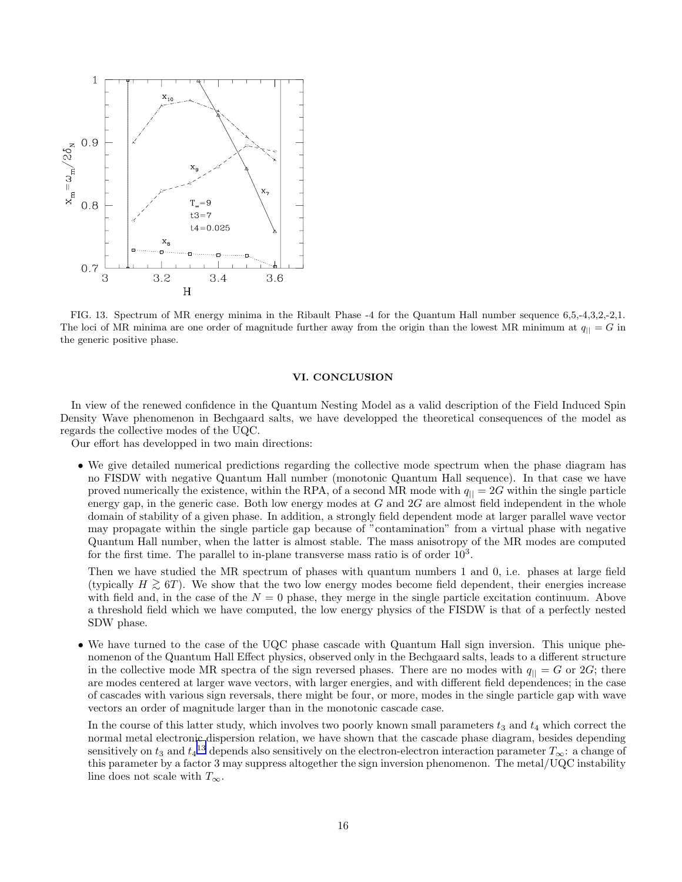<span id="page-15-0"></span>

FIG. 13. Spectrum of MR energy minima in the Ribault Phase -4 for the Quantum Hall number sequence 6,5,-4,3,2,-2,1. The loci of MR minima are one order of magnitude further away from the origin than the lowest MR minimum at  $q_{\parallel} = G$  in the generic positive phase.

## VI. CONCLUSION

In view of the renewed confidence in the Quantum Nesting Model as a valid description of the Field Induced Spin Density Wave phenomenon in Bechgaard salts, we have developped the theoretical consequences of the model as regards the collective modes of the UQC.

Our effort has developped in two main directions:

• We give detailed numerical predictions regarding the collective mode spectrum when the phase diagram has no FISDW with negative Quantum Hall number (monotonic Quantum Hall sequence). In that case we have proved numerically the existence, within the RPA, of a second MR mode with  $q_{\parallel} = 2G$  within the single particle energy gap, in the generic case. Both low energy modes at  $G$  and  $2G$  are almost field independent in the whole domain of stability of a given phase. In addition, a strongly field dependent mode at larger parallel wave vector may propagate within the single particle gap because of "contamination" from a virtual phase with negative Quantum Hall number, when the latter is almost stable. The mass anisotropy of the MR modes are computed for the first time. The parallel to in-plane transverse mass ratio is of order  $10<sup>3</sup>$ .

Then we have studied the MR spectrum of phases with quantum numbers 1 and 0, i.e. phases at large field (typically  $H \gtrsim 6T$ ). We show that the two low energy modes become field dependent, their energies increase with field and, in the case of the  $N = 0$  phase, they merge in the single particle excitation continuum. Above a threshold field which we have computed, the low energy physics of the FISDW is that of a perfectly nested SDW phase.

• We have turned to the case of the UQC phase cascade with Quantum Hall sign inversion. This unique phenomenon of the Quantum Hall Effect physics, observed only in the Bechgaard salts, leads to a different structure in the collective mode MR spectra of the sign reversed phases. There are no modes with  $q_{\parallel} = G$  or 2G; there are modes centered at larger wave vectors, with larger energies, and with different field dependences; in the case of cascades with various sign reversals, there might be four, or more, modes in the single particle gap with wave vectors an order of magnitude larger than in the monotonic cascade case.

In the course of this latter study, which involves two poorly known small parameters  $t_3$  and  $t_4$  which correct the normal metal electronic dispersion relation, we have shown that the cascade phase diagram, besides depending sensitively on  $t_3$  and  $t_4$ <sup>[13](#page-16-0)</sup> depends also sensitively on the electron-electron interaction parameter  $T_\infty$ : a change of this parameter by a factor 3 may suppress altogether the sign inversion phenomenon. The metal/UQC instability line does not scale with  $T_{\infty}$ .